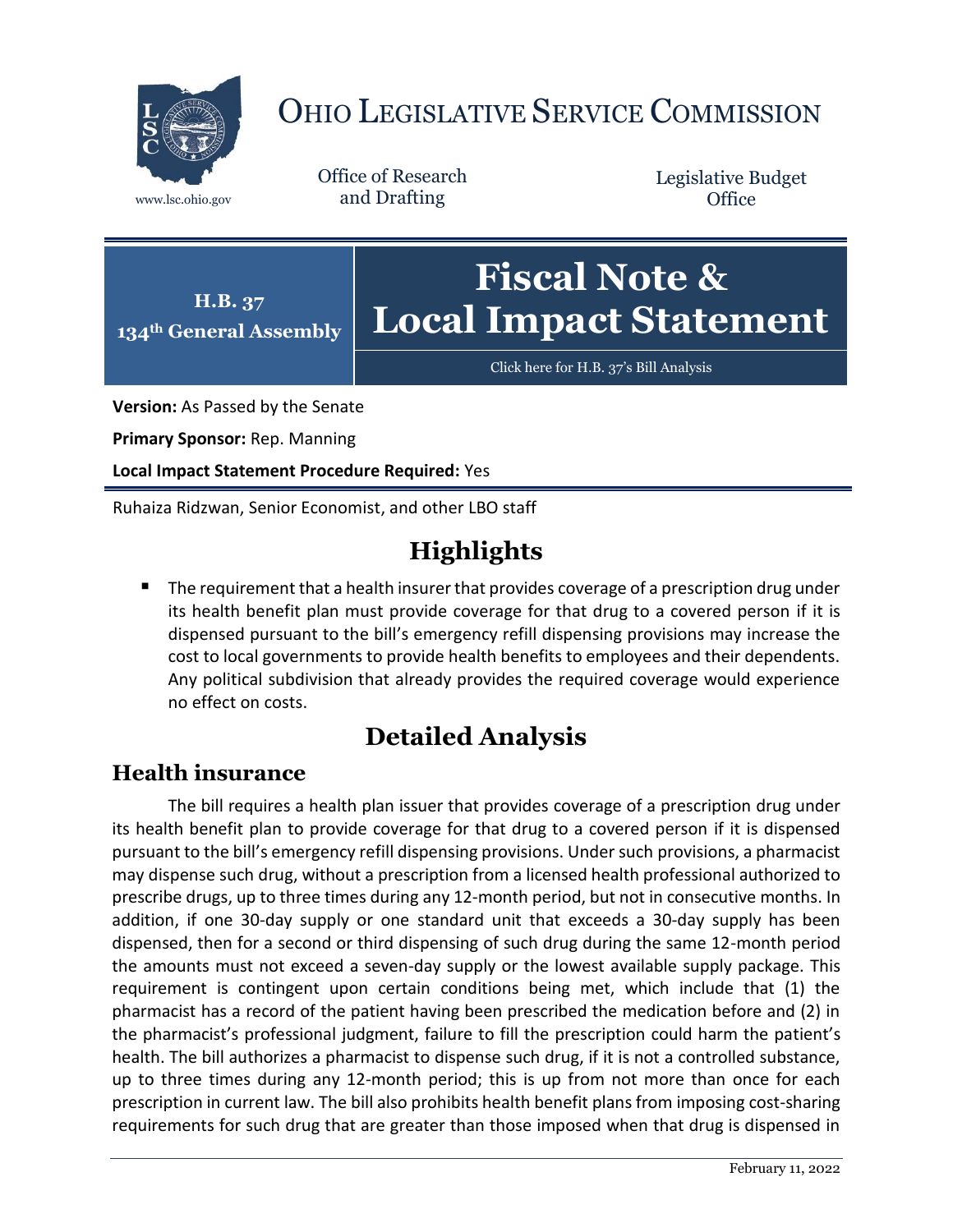

# OHIO LEGISLATIVE SERVICE COMMISSION

Office of Research www.lsc.ohio.gov and Drafting

Legislative Budget **Office** 



[Click here for H.B. 37](https://www.legislature.ohio.gov/legislation/legislation-documents?id=GA134-HB-37)'s Bill Analysis

**Version:** As Passed by the Senate

**Primary Sponsor:** Rep. Manning

**Local Impact Statement Procedure Required:** Yes

Ruhaiza Ridzwan, Senior Economist, and other LBO staff

## **Highlights**

 The requirement that a health insurer that provides coverage of a prescription drug under its health benefit plan must provide coverage for that drug to a covered person if it is dispensed pursuant to the bill's emergency refill dispensing provisions may increase the cost to local governments to provide health benefits to employees and their dependents. Any political subdivision that already provides the required coverage would experience no effect on costs.

## **Detailed Analysis**

### **Health insurance**

The bill requires a health plan issuer that provides coverage of a prescription drug under its health benefit plan to provide coverage for that drug to a covered person if it is dispensed pursuant to the bill's emergency refill dispensing provisions. Under such provisions, a pharmacist may dispense such drug, without a prescription from a licensed health professional authorized to prescribe drugs, up to three times during any 12-month period, but not in consecutive months. In addition, if one 30-day supply or one standard unit that exceeds a 30-day supply has been dispensed, then for a second or third dispensing of such drug during the same 12-month period the amounts must not exceed a seven-day supply or the lowest available supply package. This requirement is contingent upon certain conditions being met, which include that (1) the pharmacist has a record of the patient having been prescribed the medication before and (2) in the pharmacist's professional judgment, failure to fill the prescription could harm the patient's health. The bill authorizes a pharmacist to dispense such drug, if it is not a controlled substance, up to three times during any 12-month period; this is up from not more than once for each prescription in current law. The bill also prohibits health benefit plans from imposing cost-sharing requirements for such drug that are greater than those imposed when that drug is dispensed in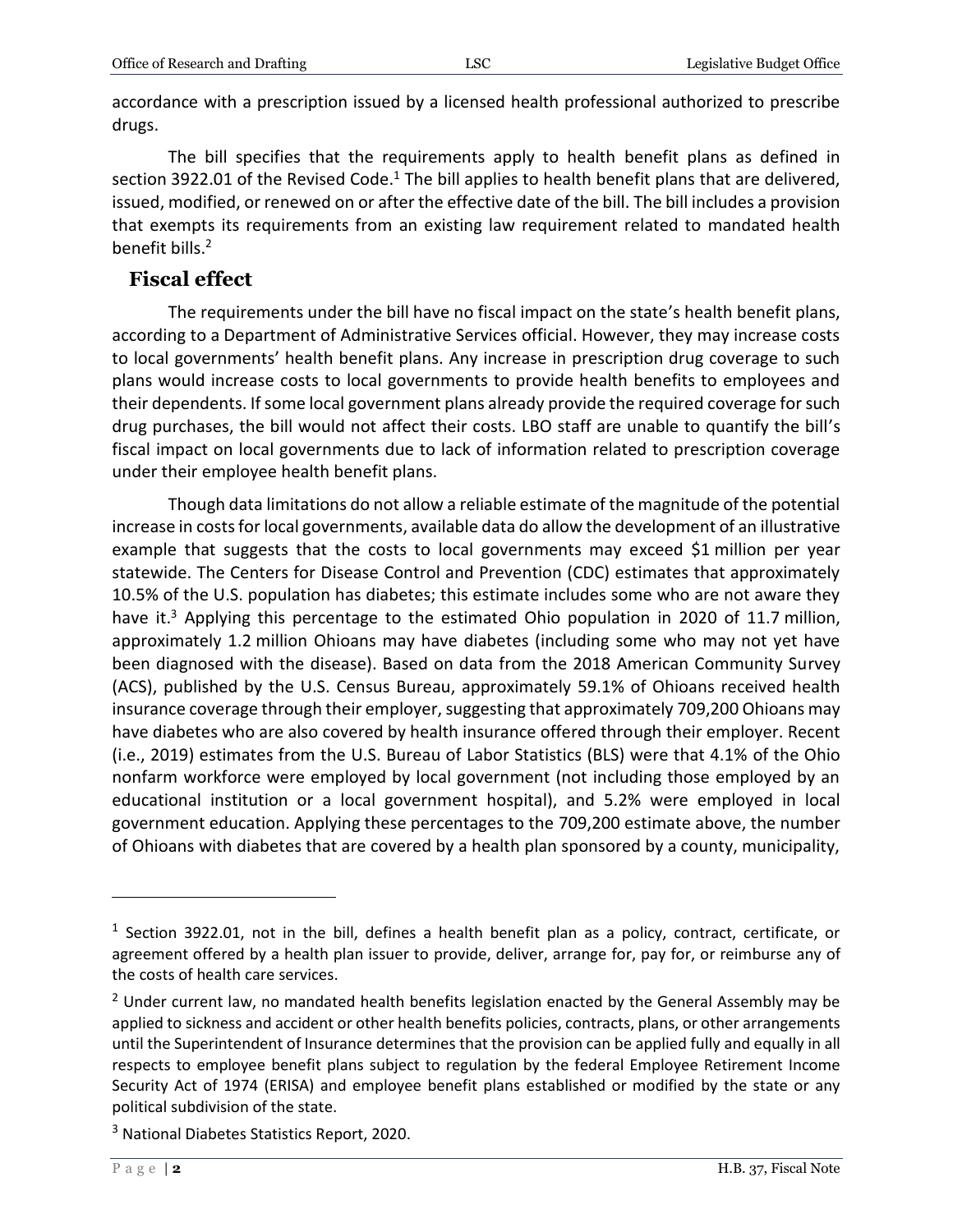accordance with a prescription issued by a licensed health professional authorized to prescribe drugs.

The bill specifies that the requirements apply to health benefit plans as defined in section 3922.01 of the Revised Code.<sup>1</sup> The bill applies to health benefit plans that are delivered, issued, modified, or renewed on or after the effective date of the bill. The bill includes a provision that exempts its requirements from an existing law requirement related to mandated health benefit bills. 2

#### **Fiscal effect**

The requirements under the bill have no fiscal impact on the state's health benefit plans, according to a Department of Administrative Services official. However, they may increase costs to local governments' health benefit plans. Any increase in prescription drug coverage to such plans would increase costs to local governments to provide health benefits to employees and their dependents. If some local government plans already provide the required coverage for such drug purchases, the bill would not affect their costs. LBO staff are unable to quantify the bill's fiscal impact on local governments due to lack of information related to prescription coverage under their employee health benefit plans.

Though data limitations do not allow a reliable estimate of the magnitude of the potential increase in costs for local governments, available data do allow the development of an illustrative example that suggests that the costs to local governments may exceed \$1 million per year statewide. The Centers for Disease Control and Prevention (CDC) estimates that approximately 10.5% of the U.S. population has diabetes; this estimate includes some who are not aware they have it.<sup>3</sup> Applying this percentage to the estimated Ohio population in 2020 of 11.7 million, approximately 1.2 million Ohioans may have diabetes (including some who may not yet have been diagnosed with the disease). Based on data from the 2018 American Community Survey (ACS), published by the U.S. Census Bureau, approximately 59.1% of Ohioans received health insurance coverage through their employer, suggesting that approximately 709,200 Ohioans may have diabetes who are also covered by health insurance offered through their employer. Recent (i.e., 2019) estimates from the U.S. Bureau of Labor Statistics (BLS) were that 4.1% of the Ohio nonfarm workforce were employed by local government (not including those employed by an educational institution or a local government hospital), and 5.2% were employed in local government education. Applying these percentages to the 709,200 estimate above, the number of Ohioans with diabetes that are covered by a health plan sponsored by a county, municipality,

 $\overline{a}$ 

<sup>&</sup>lt;sup>1</sup> Section 3922.01, not in the bill, defines a health benefit plan as a policy, contract, certificate, or agreement offered by a health plan issuer to provide, deliver, arrange for, pay for, or reimburse any of the costs of health care services.

 $2$  Under current law, no mandated health benefits legislation enacted by the General Assembly may be applied to sickness and accident or other health benefits policies, contracts, plans, or other arrangements until the Superintendent of Insurance determines that the provision can be applied fully and equally in all respects to employee benefit plans subject to regulation by the federal Employee Retirement Income Security Act of 1974 (ERISA) and employee benefit plans established or modified by the state or any political subdivision of the state.

<sup>&</sup>lt;sup>3</sup> National Diabetes Statistics Report, 2020.